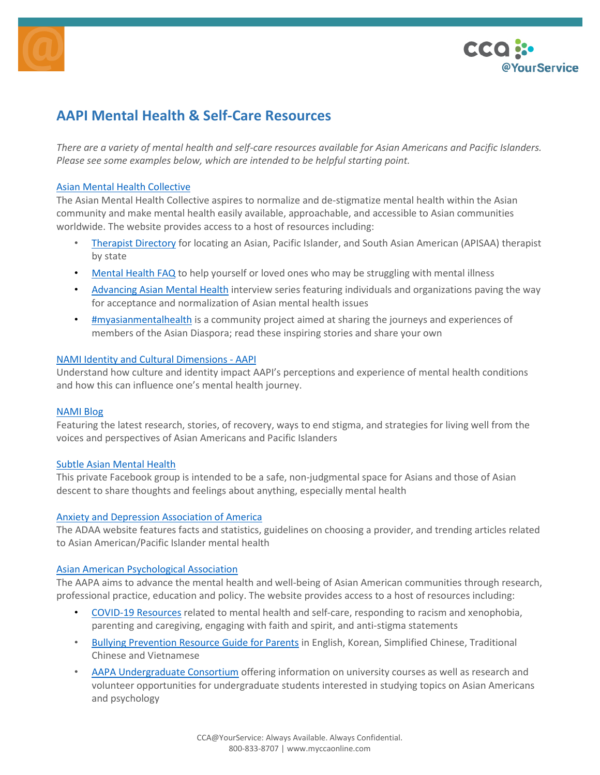



# **AAPI Mental Health & Self-Care Resources**

*There are a variety of mental health and self-care resources available for Asian Americans and Pacific Islanders. Please see some examples below, which are intended to be helpful starting point.*

## Asian Mental Health Collective

The Asian Mental Health Collective aspires to normalize and de-stigmatize mental health within the Asian community and make mental health easily available, approachable, and accessible to Asian communities worldwide. The website provides access to a host of resources including:

- Therapist Directory for locating an Asian, Pacific Islander, and South Asian American (APISAA) therapist by state
- Mental Health FAQ to help yourself or loved ones who may be struggling with mental illness
- Advancing Asian Mental Health interview series featuring individuals and organizations paving the way for acceptance and normalization of Asian mental health issues
- #myasianmentalhealth is a community project aimed at sharing the journeys and experiences of members of the Asian Diaspora; read these inspiring stories and share your own

## NAMI Identity and Cultural Dimensions - AAPI

Understand how culture and identity impact AAPI's perceptions and experience of mental health conditions and how this can influence one's mental health journey.

#### NAMI Blog

Featuring the latest research, stories, of recovery, ways to end stigma, and strategies for living well from the voices and perspectives of Asian Americans and Pacific Islanders

## Subtle Asian Mental Health

This private Facebook group is intended to be a safe, non-judgmental space for Asians and those of Asian descent to share thoughts and feelings about anything, especially mental health

#### Anxiety and Depression Association of America

The ADAA website features facts and statistics, guidelines on choosing a provider, and trending articles related to Asian American/Pacific Islander mental health

#### Asian American Psychological Association

The AAPA aims to advance the mental health and well-being of Asian American communities through research, professional practice, education and policy. The website provides access to a host of resources including:

- COVID-19 Resources related to mental health and self-care, responding to racism and xenophobia, parenting and caregiving, engaging with faith and spirit, and anti-stigma statements
- Bullying Prevention Resource Guide for Parents in English, Korean, Simplified Chinese, Traditional Chinese and Vietnamese
- AAPA Undergraduate Consortium offering information on university courses as well as research and volunteer opportunities for undergraduate students interested in studying topics on Asian Americans and psychology